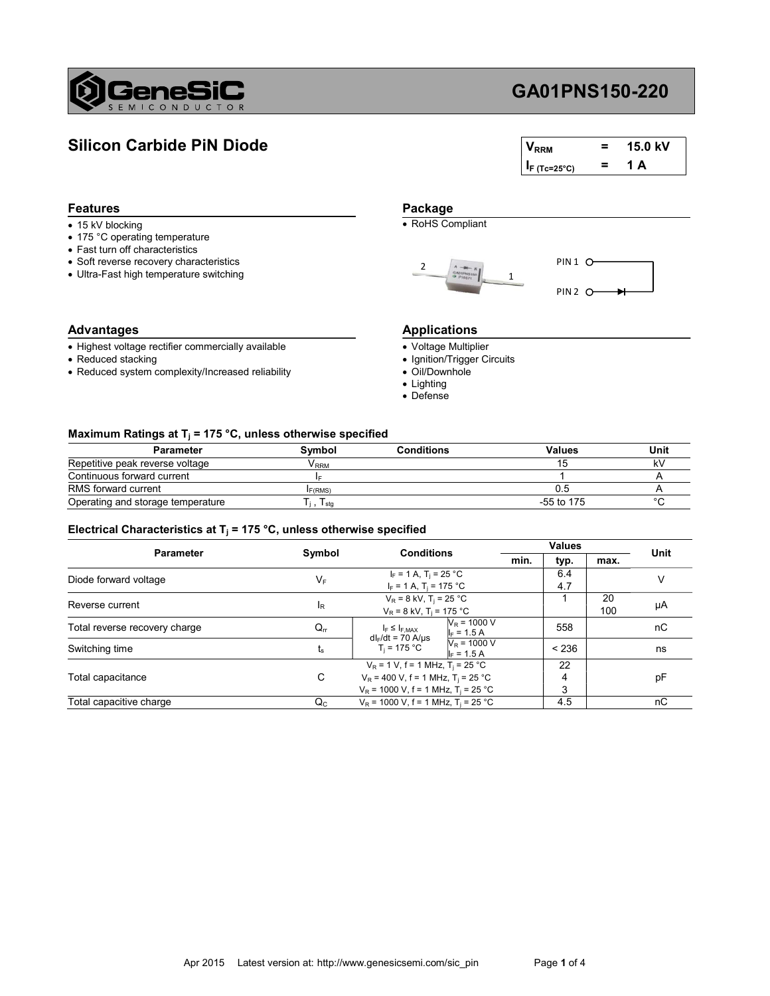

# GA01PNS150-220

# Silicon Carbide PiN Diode

| $V_{RRM}$       | = | 15.0 kV |
|-----------------|---|---------|
| $I_F$ (Tc=25°C) | = | 1 Δ     |

### Features **Package**

- 
- 175 °C operating temperature
- Fast turn off characteristics
- Soft reverse recovery characteristics
- Ultra-Fast high temperature switching

## Advantages **Advantages** Applications

- Highest voltage rectifier commercially available
- Reduced stacking
- Reduced system complexity/Increased reliability

• 15 kV blocking **COMPLIAN COMPLIANT** 





- Voltage Multiplier
- Ignition/Trigger Circuits
- Oil/Downhole
- Lighting
- Defense

### Maximum Ratings at T<sub>j</sub> = 175 °C, unless otherwise specified

| <b>Parameter</b>                  | Symbol       | <b>Conditions</b> | Values       | Unit |
|-----------------------------------|--------------|-------------------|--------------|------|
| Repetitive peak reverse voltage   | <b>V</b> RRM |                   |              |      |
| Continuous forward current        |              |                   |              |      |
| RMS forward current               | F(RMS)       |                   | U.5          |      |
| Operating and storage temperature | I stg        |                   | $-55$ to 175 |      |

### Electrical Characteristics at T<sub>j</sub> = 175 °C, unless otherwise specified

| <b>Parameter</b>              | Symbol      | <b>Conditions</b>                                                                                                                                       |                                 | <b>Values</b> |           | Unit |
|-------------------------------|-------------|---------------------------------------------------------------------------------------------------------------------------------------------------------|---------------------------------|---------------|-----------|------|
|                               |             |                                                                                                                                                         | min.                            | typ.          | max.      |      |
| Diode forward voltage         | $V_{\rm F}$ | $I_F = 1 A$ , $T_i = 25 °C$<br>$I_F = 1 A$ , T <sub>i</sub> = 175 °C                                                                                    |                                 | 6.4<br>4.7    |           |      |
| Reverse current               | ΙŖ          | $V_R = 8$ kV, T <sub>i</sub> = 25 °C<br>$V_R = 8$ kV, T <sub>i</sub> = 175 °C                                                                           |                                 |               | 20<br>100 | μA   |
| Total reverse recovery charge | $Q_{rr}$    | $I_F \leq I_{F,MAX}$                                                                                                                                    | $N_R$ = 1000 V<br>$I_F = 1.5 A$ | 558           |           | nC   |
| Switching time                | ts          | $dl_F/dt = 70$ A/ $\mu s$<br>$T_i = 175 °C$                                                                                                             | $V_R$ = 1000 V<br>$I_F = 1.5 A$ | < 236         |           | ns   |
| Total capacitance             | C           | $V_R$ = 1 V, f = 1 MHz, T <sub>i</sub> = 25 °C<br>$V_R$ = 400 V, f = 1 MHz, T <sub>i</sub> = 25 °C<br>$V_R$ = 1000 V, f = 1 MHz, T <sub>i</sub> = 25 °C |                                 | 22<br>4<br>3  |           | рF   |
| Total capacitive charge       | $Q_{C}$     | $V_P$ = 1000 V, f = 1 MHz, T <sub>i</sub> = 25 °C                                                                                                       |                                 | 4.5           |           | пC   |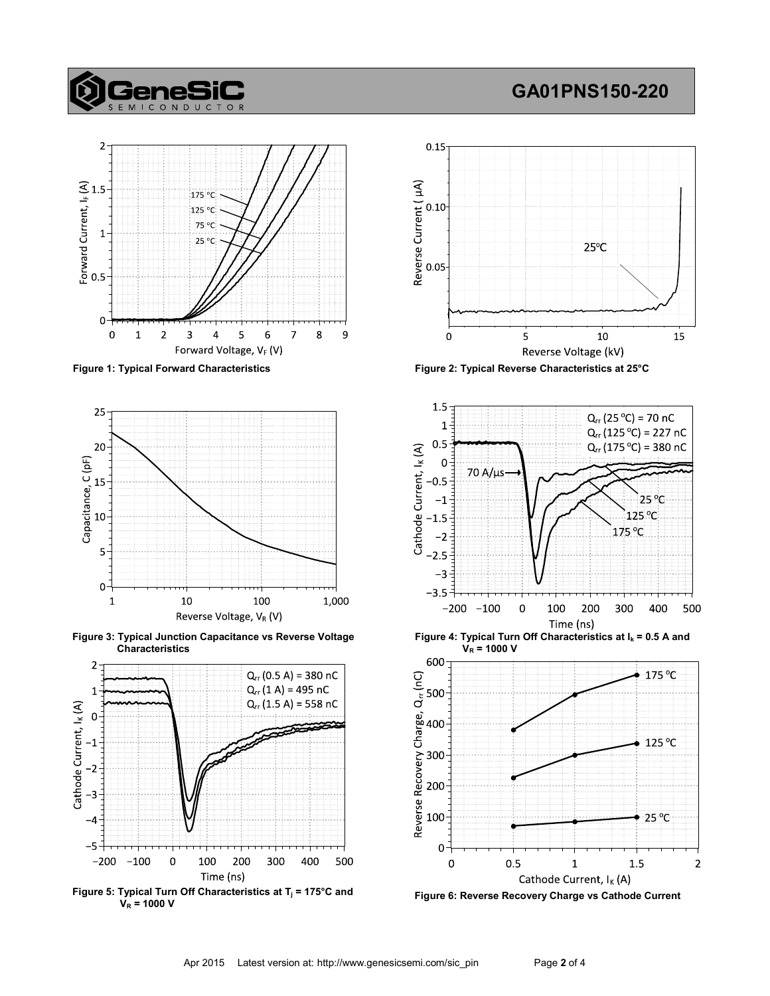# **GeneS**

# GA01PNS150-220





Figure 3: Typical Junction Capacitance vs Reverse Voltage Characteristics



Figure 5: Typical Turn Off Characteristics at  $T_j = 175^{\circ}$ C and  $V_R = 1000 V$ 



Figure 1: Typical Forward Characteristics Figure 2: Typical Reverse Characteristics at 25°C



Figure 4: Typical Turn Off Characteristics at  $I_k = 0.5$  A and  $V_R = 1000 V$ 



Figure 6: Reverse Recovery Charge vs Cathode Current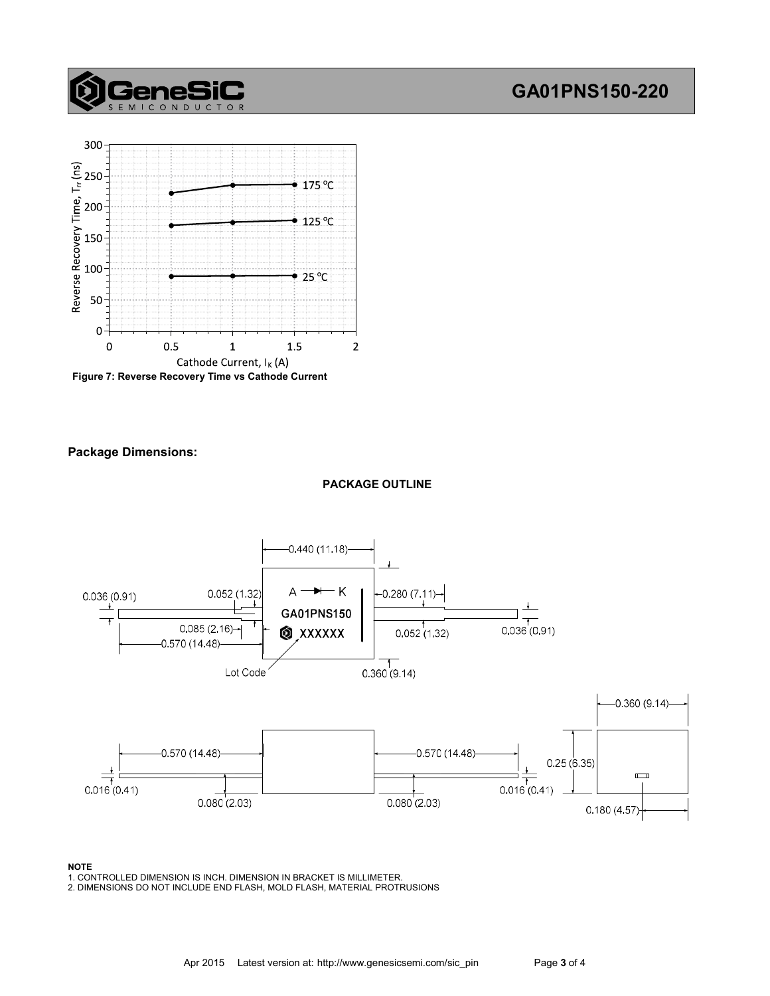# GA01PNS150-220



**enes** 

Figure 7: Reverse Recovery Time vs Cathode Current

### Package Dimensions:

### PACKAGE OUTLINE



### NOTE

1. CONTROLLED DIMENSION IS INCH. DIMENSION IN BRACKET IS MILLIMETER.

2. DIMENSIONS DO NOT INCLUDE END FLASH, MOLD FLASH, MATERIAL PROTRUSIONS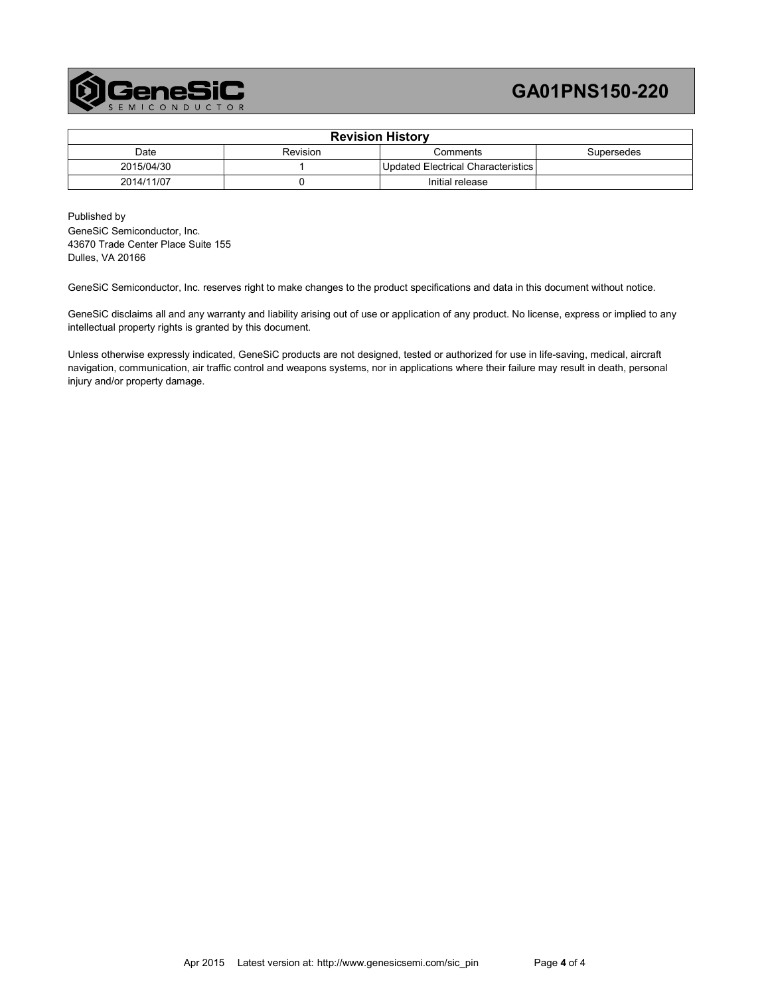

# GA01PNS150-220

| <b>Revision History</b> |          |                                    |            |  |
|-------------------------|----------|------------------------------------|------------|--|
| Date                    | Revision | Comments                           | Supersedes |  |
| 2015/04/30              |          | Updated Electrical Characteristics |            |  |
| 2014/11/07              |          | Initial release                    |            |  |

Published by GeneSiC Semiconductor, Inc. 43670 Trade Center Place Suite 155 Dulles, VA 20166

GeneSiC Semiconductor, Inc. reserves right to make changes to the product specifications and data in this document without notice.

GeneSiC disclaims all and any warranty and liability arising out of use or application of any product. No license, express or implied to any intellectual property rights is granted by this document.

Unless otherwise expressly indicated, GeneSiC products are not designed, tested or authorized for use in life-saving, medical, aircraft navigation, communication, air traffic control and weapons systems, nor in applications where their failure may result in death, personal injury and/or property damage.